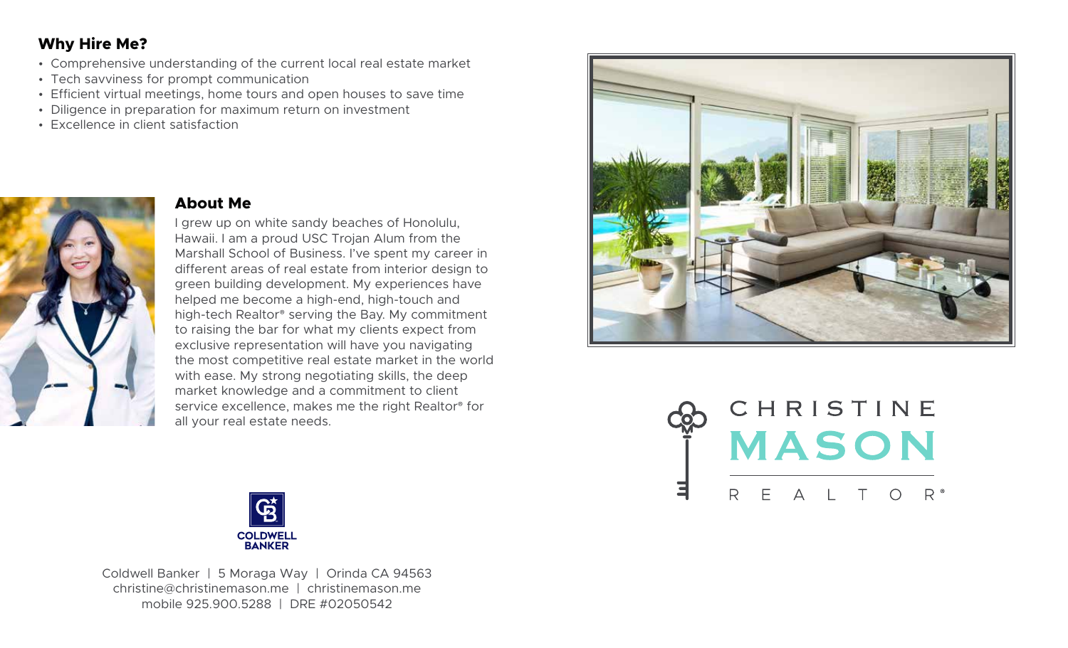# **Why Hire Me?**

- Comprehensive understanding of the current local real estate market
- Tech savviness for prompt communication
- Efficient virtual meetings, home tours and open houses to save time
- Diligence in preparation for maximum return on investment
- Excellence in client satisfaction



### **About Me**

I grew up on white sandy beaches of Honolulu, Hawaii. I am a proud USC Trojan Alum from the Marshall School of Business. I've spent my career in different areas of real estate from interior design to green building development. My experiences have helped me become a high-end, high-touch and high-tech Realtor® serving the Bay. My commitment to raising the bar for what my clients expect from exclusive representation will have you navigating the most competitive real estate market in the world with ease. My strong negotiating skills, the deep market knowledge and a commitment to client service excellence, makes me the right Realtor® for all your real estate needs.







Coldwell Banker | 5 Moraga Way | Orinda CA 94563 christine@christinemason.me | christinemason.me mobile 925.900.5288 | DRE #02050542